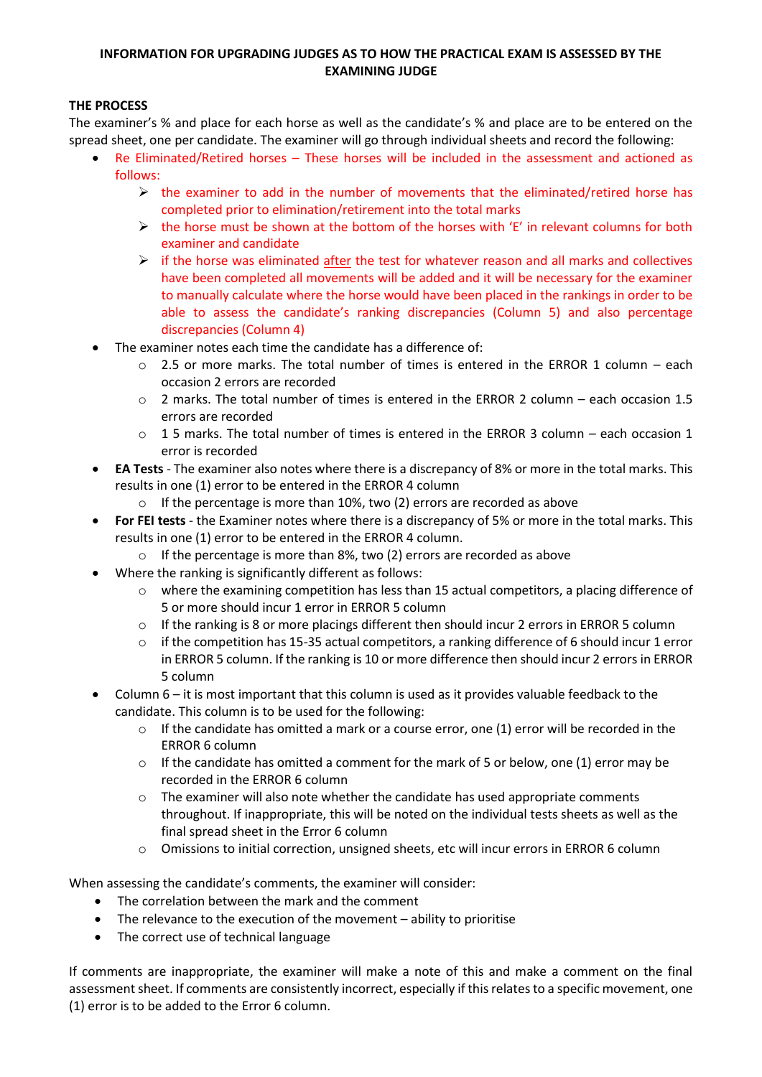## **INFORMATION FOR UPGRADING JUDGES AS TO HOW THE PRACTICAL EXAM IS ASSESSED BY THE EXAMINING JUDGE**

## **THE PROCESS**

The examiner's % and place for each horse as well as the candidate's % and place are to be entered on the spread sheet, one per candidate. The examiner will go through individual sheets and record the following:

- Re Eliminated/Retired horses These horses will be included in the assessment and actioned as follows:
	- $\triangleright$  the examiner to add in the number of movements that the eliminated/retired horse has completed prior to elimination/retirement into the total marks
	- $\triangleright$  the horse must be shown at the bottom of the horses with 'E' in relevant columns for both examiner and candidate
	- $\triangleright$  if the horse was eliminated after the test for whatever reason and all marks and collectives have been completed all movements will be added and it will be necessary for the examiner to manually calculate where the horse would have been placed in the rankings in order to be able to assess the candidate's ranking discrepancies (Column 5) and also percentage discrepancies (Column 4)
- The examiner notes each time the candidate has a difference of:
	- o 2.5 or more marks. The total number of times is entered in the ERROR 1 column each occasion 2 errors are recorded
	- $\circ$  2 marks. The total number of times is entered in the ERROR 2 column each occasion 1.5 errors are recorded
	- $\circ$  1.5 marks. The total number of times is entered in the ERROR 3 column each occasion 1 error is recorded
- **EA Tests** The examiner also notes where there is a discrepancy of 8% or more in the total marks. This results in one (1) error to be entered in the ERROR 4 column
	- $\circ$  If the percentage is more than 10%, two (2) errors are recorded as above
- **For FEI tests** the Examiner notes where there is a discrepancy of 5% or more in the total marks. This results in one (1) error to be entered in the ERROR 4 column.
	- $\circ$  If the percentage is more than 8%, two (2) errors are recorded as above
- Where the ranking is significantly different as follows:
	- o where the examining competition has less than 15 actual competitors, a placing difference of 5 or more should incur 1 error in ERROR 5 column
	- $\circ$  If the ranking is 8 or more placings different then should incur 2 errors in ERROR 5 column
	- $\circ$  if the competition has 15-35 actual competitors, a ranking difference of 6 should incur 1 error in ERROR 5 column. If the ranking is 10 or more difference then should incur 2 errors in ERROR 5 column
- Column  $6 -$  it is most important that this column is used as it provides valuable feedback to the candidate. This column is to be used for the following:
	- o If the candidate has omitted a mark or a course error, one (1) error will be recorded in the ERROR 6 column
	- $\circ$  If the candidate has omitted a comment for the mark of 5 or below, one (1) error may be recorded in the ERROR 6 column
	- $\circ$  The examiner will also note whether the candidate has used appropriate comments throughout. If inappropriate, this will be noted on the individual tests sheets as well as the final spread sheet in the Error 6 column
	- o Omissions to initial correction, unsigned sheets, etc will incur errors in ERROR 6 column

When assessing the candidate's comments, the examiner will consider:

- The correlation between the mark and the comment
- The relevance to the execution of the movement ability to prioritise
- The correct use of technical language

If comments are inappropriate, the examiner will make a note of this and make a comment on the final assessment sheet. If comments are consistently incorrect, especially if this relates to a specific movement, one (1) error is to be added to the Error 6 column.